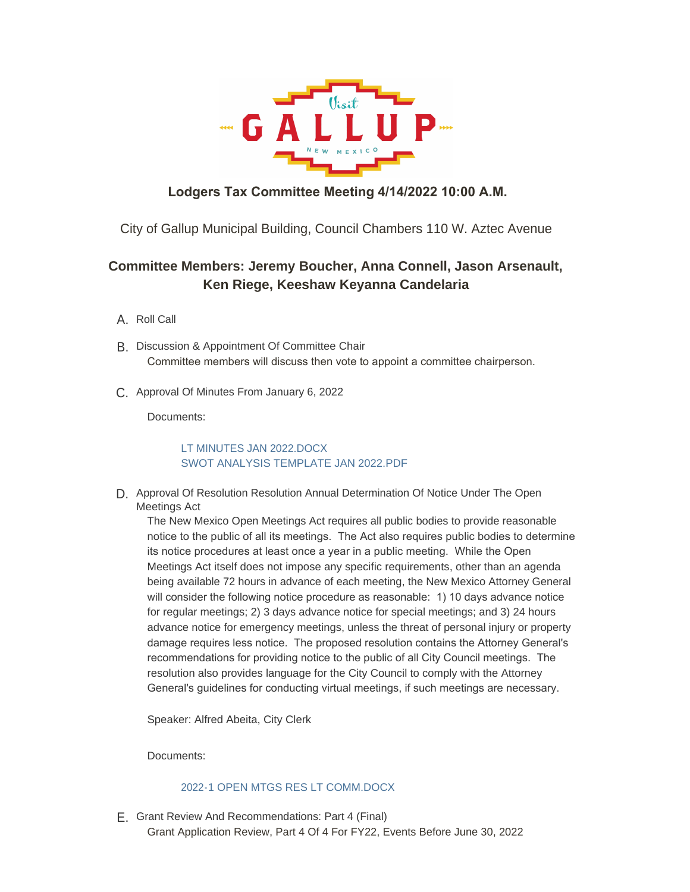

## **Lodgers Tax Committee Meeting 4/14/2022 10:00 A.M.**

City of Gallup Municipal Building, Council Chambers 110 W. Aztec Avenue

## **Committee Members: Jeremy Boucher, Anna Connell, Jason Arsenault, Ken Riege, Keeshaw Keyanna Candelaria**

- A. Roll Call
- B. Discussion & Appointment Of Committee Chair Committee members will discuss then vote to appoint a committee chairperson.
- C. Approval Of Minutes From January 6, 2022

Documents:

## [LT MINUTES JAN 2022.DOCX](https://www.gallupnm.gov/AgendaCenter/ViewFile/Item/2872?fileID=12459) [SWOT ANALYSIS TEMPLATE JAN 2022.PDF](https://www.gallupnm.gov/AgendaCenter/ViewFile/Item/2872?fileID=12460)

D. Approval Of Resolution Resolution Annual Determination Of Notice Under The Open Meetings Act

The New Mexico Open Meetings Act requires all public bodies to provide reasonable notice to the public of all its meetings. The Act also requires public bodies to determine its notice procedures at least once a year in a public meeting. While the Open Meetings Act itself does not impose any specific requirements, other than an agenda being available 72 hours in advance of each meeting, the New Mexico Attorney General will consider the following notice procedure as reasonable: 1) 10 days advance notice for regular meetings; 2) 3 days advance notice for special meetings; and 3) 24 hours advance notice for emergency meetings, unless the threat of personal injury or property damage requires less notice. The proposed resolution contains the Attorney General's recommendations for providing notice to the public of all City Council meetings. The resolution also provides language for the City Council to comply with the Attorney General's guidelines for conducting virtual meetings, if such meetings are necessary.

Speaker: Alfred Abeita, City Clerk

Documents:

## [2022-1 OPEN MTGS RES LT COMM.DOCX](https://www.gallupnm.gov/AgendaCenter/ViewFile/Item/2875?fileID=12502)

E. Grant Review And Recommendations: Part 4 (Final) Grant Application Review, Part 4 Of 4 For FY22, Events Before June 30, 2022